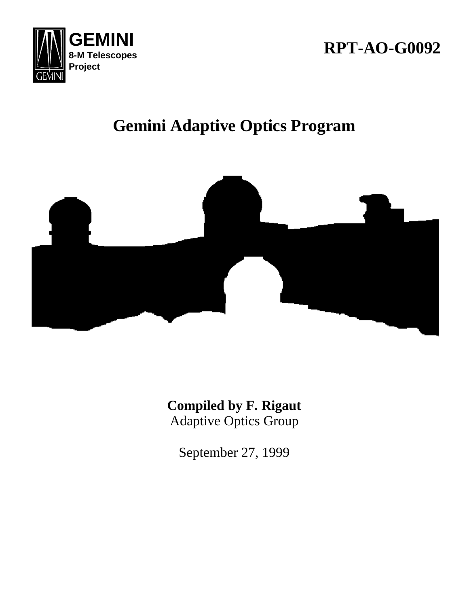

# **RPT-AO-G0092**

# **Gemini Adaptive Optics Program**



**Compiled by F. Rigaut** Adaptive Optics Group

September 27, 1999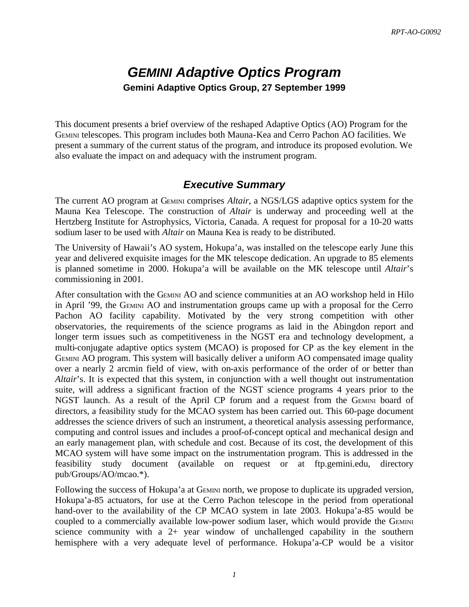# *GEMINI Adaptive Optics Program* **Gemini Adaptive Optics Group, 27 September 1999**

This document presents a brief overview of the reshaped Adaptive Optics (AO) Program for the GEMINI telescopes. This program includes both Mauna-Kea and Cerro Pachon AO facilities. We present a summary of the current status of the program, and introduce its proposed evolution. We also evaluate the impact on and adequacy with the instrument program.

# *Executive Summary*

The current AO program at GEMINI comprises *Altair*, a NGS/LGS adaptive optics system for the Mauna Kea Telescope. The construction of *Altair* is underway and proceeding well at the Hertzberg Institute for Astrophysics, Victoria, Canada. A request for proposal for a 10-20 watts sodium laser to be used with *Altair* on Mauna Kea is ready to be distributed.

The University of Hawaii's AO system, Hokupa'a, was installed on the telescope early June this year and delivered exquisite images for the MK telescope dedication. An upgrade to 85 elements is planned sometime in 2000. Hokupa'a will be available on the MK telescope until *Altair*'s commissioning in 2001.

After consultation with the GEMINI AO and science communities at an AO workshop held in Hilo in April '99, the GEMINI AO and instrumentation groups came up with a proposal for the Cerro Pachon AO facility capability. Motivated by the very strong competition with other observatories, the requirements of the science programs as laid in the Abingdon report and longer term issues such as competitiveness in the NGST era and technology development, a multi-conjugate adaptive optics system (MCAO) is proposed for CP as the key element in the GEMINI AO program. This system will basically deliver a uniform AO compensated image quality over a nearly 2 arcmin field of view, with on-axis performance of the order of or better than *Altair*'s. It is expected that this system, in conjunction with a well thought out instrumentation suite, will address a significant fraction of the NGST science programs 4 years prior to the NGST launch. As a result of the April CP forum and a request from the GEMINI board of directors, a feasibility study for the MCAO system has been carried out. This 60-page document addresses the science drivers of such an instrument, a theoretical analysis assessing performance, computing and control issues and includes a proof-of-concept optical and mechanical design and an early management plan, with schedule and cost. Because of its cost, the development of this MCAO system will have some impact on the instrumentation program. This is addressed in the feasibility study document (available on request or at ftp.gemini.edu, directory pub/Groups/AO/mcao.\*).

Following the success of Hokupa'a at GEMINI north, we propose to duplicate its upgraded version, Hokupa'a-85 actuators, for use at the Cerro Pachon telescope in the period from operational hand-over to the availability of the CP MCAO system in late 2003. Hokupa'a-85 would be coupled to a commercially available low-power sodium laser, which would provide the GEMINI science community with a 2+ year window of unchallenged capability in the southern hemisphere with a very adequate level of performance. Hokupa'a-CP would be a visitor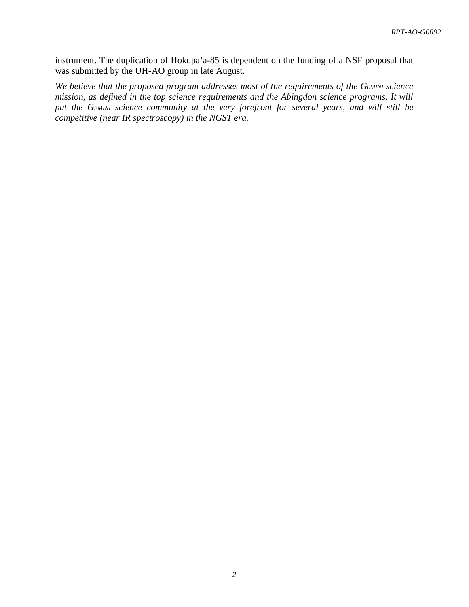instrument. The duplication of Hokupa'a-85 is dependent on the funding of a NSF proposal that was submitted by the UH-AO group in late August.

*We believe that the proposed program addresses most of the requirements of the GEMINI science mission, as defined in the top science requirements and the Abingdon science programs. It will put the GEMINI science community at the very forefront for several years, and will still be competitive (near IR spectroscopy) in the NGST era.*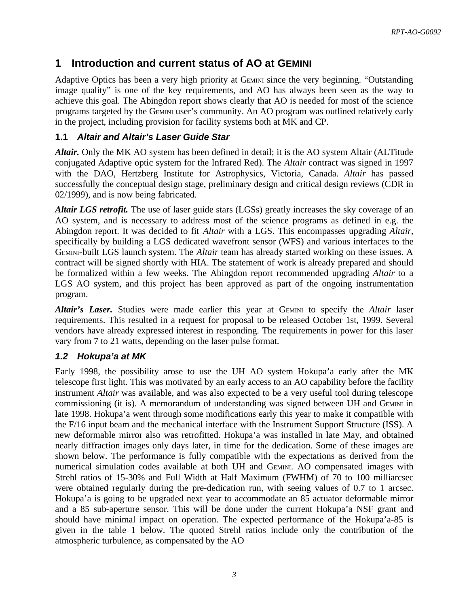# **1 Introduction and current status of AO at GEMINI**

Adaptive Optics has been a very high priority at GEMINI since the very beginning. "Outstanding image quality" is one of the key requirements, and AO has always been seen as the way to achieve this goal. The Abingdon report shows clearly that AO is needed for most of the science programs targeted by the GEMINI user's community. An AO program was outlined relatively early in the project, including provision for facility systems both at MK and CP.

#### **1.1** *Altair and Altair's Laser Guide Star*

*Altair.* Only the MK AO system has been defined in detail; it is the AO system Altair (ALTitude conjugated Adaptive optic system for the Infrared Red). The *Altair* contract was signed in 1997 with the DAO, Hertzberg Institute for Astrophysics, Victoria, Canada. *Altair* has passed successfully the conceptual design stage, preliminary design and critical design reviews (CDR in 02/1999), and is now being fabricated.

*Altair LGS retrofit.* The use of laser guide stars (LGSs) greatly increases the sky coverage of an AO system, and is necessary to address most of the science programs as defined in e.g. the Abingdon report. It was decided to fit *Altair* with a LGS. This encompasses upgrading *Altair*, specifically by building a LGS dedicated wavefront sensor (WFS) and various interfaces to the GEMINI-built LGS launch system. The *Altair* team has already started working on these issues. A contract will be signed shortly with HIA. The statement of work is already prepared and should be formalized within a few weeks. The Abingdon report recommended upgrading *Altair* to a LGS AO system, and this project has been approved as part of the ongoing instrumentation program.

*Altair's Laser.* Studies were made earlier this year at GEMINI to specify the *Altair* laser requirements. This resulted in a request for proposal to be released October 1st, 1999. Several vendors have already expressed interest in responding. The requirements in power for this laser vary from 7 to 21 watts, depending on the laser pulse format.

#### *1.2 Hokupa'a at MK*

Early 1998, the possibility arose to use the UH AO system Hokupa'a early after the MK telescope first light. This was motivated by an early access to an AO capability before the facility instrument *Altair* was available, and was also expected to be a very useful tool during telescope commissioning (it is). A memorandum of understanding was signed between UH and GEMINI in late 1998. Hokupa'a went through some modifications early this year to make it compatible with the F/16 input beam and the mechanical interface with the Instrument Support Structure (ISS). A new deformable mirror also was retrofitted. Hokupa'a was installed in late May, and obtained nearly diffraction images only days later, in time for the dedication. Some of these images are shown below. The performance is fully compatible with the expectations as derived from the numerical simulation codes available at both UH and GEMINI. AO compensated images with Strehl ratios of 15-30% and Full Width at Half Maximum (FWHM) of 70 to 100 milliarcsec were obtained regularly during the pre-dedication run, with seeing values of 0.7 to 1 arcsec. Hokupa'a is going to be upgraded next year to accommodate an 85 actuator deformable mirror and a 85 sub-aperture sensor. This will be done under the current Hokupa'a NSF grant and should have minimal impact on operation. The expected performance of the Hokupa'a-85 is given in the table 1 below. The quoted Strehl ratios include only the contribution of the atmospheric turbulence, as compensated by the AO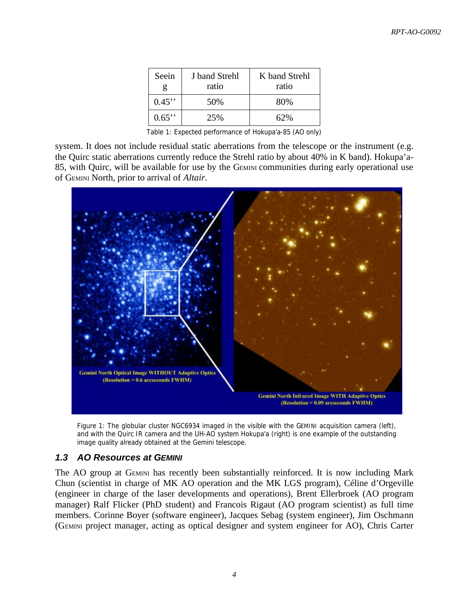| Seein<br>g | J band Strehl<br>ratio | K band Strehl<br>ratio |
|------------|------------------------|------------------------|
| $0.45$ "   | 50%                    | 80%                    |
| $0.65$ "   | 25%                    | 62%                    |

*Table 1: Expected performance of Hokupa'a-85 (AO only)*

system. It does not include residual static aberrations from the telescope or the instrument (e.g. the Quirc static aberrations currently reduce the Strehl ratio by about 40% in K band). Hokupa'a-85, with Quirc, will be available for use by the GEMINI communities during early operational use of GEMINI North, prior to arrival of *Altair*.



*Figure 1: The globular cluster NGC6934 imaged in the visible with the GEMINI acquisition camera (left), and with the Quirc IR camera and the UH-AO system Hokupa'a (right) is one example of the outstanding image quality already obtained at the Gemini telescope.*

#### *1.3 AO Resources at GEMINI*

The AO group at GEMINI has recently been substantially reinforced. It is now including Mark Chun (scientist in charge of MK AO operation and the MK LGS program), Céline d'Orgeville (engineer in charge of the laser developments and operations), Brent Ellerbroek (AO program manager) Ralf Flicker (PhD student) and Francois Rigaut (AO program scientist) as full time members. Corinne Boyer (software engineer), Jacques Sebag (system engineer), Jim Oschmann (GEMINI project manager, acting as optical designer and system engineer for AO), Chris Carter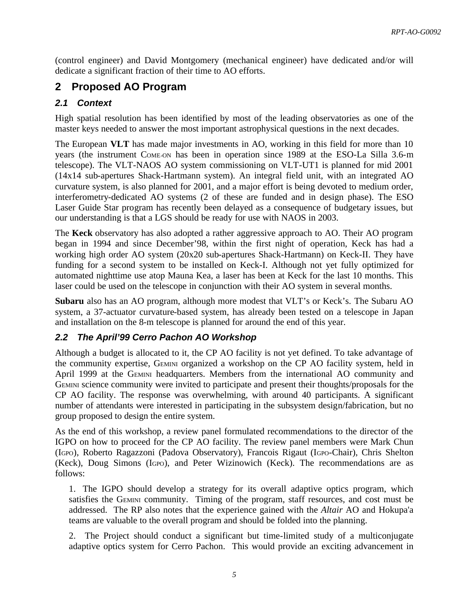(control engineer) and David Montgomery (mechanical engineer) have dedicated and/or will dedicate a significant fraction of their time to AO efforts.

# **2 Proposed AO Program**

# *2.1 Context*

High spatial resolution has been identified by most of the leading observatories as one of the master keys needed to answer the most important astrophysical questions in the next decades.

The European **VLT** has made major investments in AO, working in this field for more than 10 years (the instrument COME-ON has been in operation since 1989 at the ESO-La Silla 3.6-m telescope). The VLT-NAOS AO system commissioning on VLT-UT1 is planned for mid 2001 (14x14 sub-apertures Shack-Hartmann system). An integral field unit, with an integrated AO curvature system, is also planned for 2001, and a major effort is being devoted to medium order, interferometry-dedicated AO systems (2 of these are funded and in design phase). The ESO Laser Guide Star program has recently been delayed as a consequence of budgetary issues, but our understanding is that a LGS should be ready for use with NAOS in 2003.

The **Keck** observatory has also adopted a rather aggressive approach to AO. Their AO program began in 1994 and since December'98, within the first night of operation, Keck has had a working high order AO system (20x20 sub-apertures Shack-Hartmann) on Keck-II. They have funding for a second system to be installed on Keck-I. Although not yet fully optimized for automated nighttime use atop Mauna Kea, a laser has been at Keck for the last 10 months. This laser could be used on the telescope in conjunction with their AO system in several months.

**Subaru** also has an AO program, although more modest that VLT's or Keck's. The Subaru AO system, a 37-actuator curvature-based system, has already been tested on a telescope in Japan and installation on the 8-m telescope is planned for around the end of this year.

# *2.2 The April'99 Cerro Pachon AO Workshop*

Although a budget is allocated to it, the CP AO facility is not yet defined. To take advantage of the community expertise, GEMINI organized a workshop on the CP AO facility system, held in April 1999 at the GEMINI headquarters. Members from the international AO community and GEMINI science community were invited to participate and present their thoughts/proposals for the CP AO facility. The response was overwhelming, with around 40 participants. A significant number of attendants were interested in participating in the subsystem design/fabrication, but no group proposed to design the entire system.

As the end of this workshop, a review panel formulated recommendations to the director of the IGPO on how to proceed for the CP AO facility. The review panel members were Mark Chun (IGPO), Roberto Ragazzoni (Padova Observatory), Francois Rigaut (IGPO-Chair), Chris Shelton (Keck), Doug Simons (IGPO), and Peter Wizinowich (Keck). The recommendations are as follows:

1. The IGPO should develop a strategy for its overall adaptive optics program, which satisfies the GEMINI community. Timing of the program, staff resources, and cost must be addressed. The RP also notes that the experience gained with the *Altair* AO and Hokupa'a teams are valuable to the overall program and should be folded into the planning.

2. The Project should conduct a significant but time-limited study of a multiconjugate adaptive optics system for Cerro Pachon. This would provide an exciting advancement in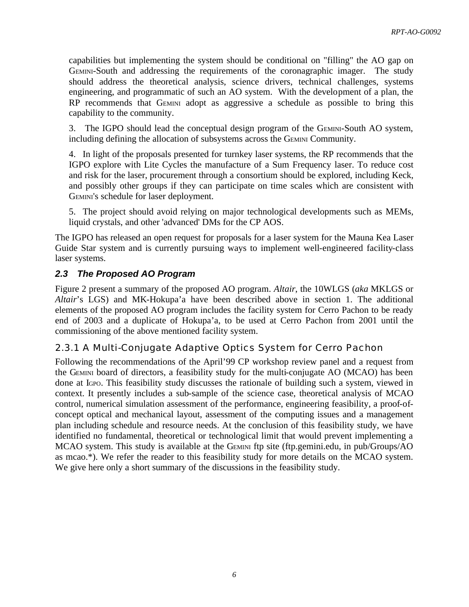capabilities but implementing the system should be conditional on "filling" the AO gap on GEMINI-South and addressing the requirements of the coronagraphic imager. The study should address the theoretical analysis, science drivers, technical challenges, systems engineering, and programmatic of such an AO system. With the development of a plan, the RP recommends that GEMINI adopt as aggressive a schedule as possible to bring this capability to the community.

3. The IGPO should lead the conceptual design program of the GEMINI-South AO system, including defining the allocation of subsystems across the GEMINI Community.

4. In light of the proposals presented for turnkey laser systems, the RP recommends that the IGPO explore with Lite Cycles the manufacture of a Sum Frequency laser. To reduce cost and risk for the laser, procurement through a consortium should be explored, including Keck, and possibly other groups if they can participate on time scales which are consistent with GEMINI's schedule for laser deployment.

5. The project should avoid relying on major technological developments such as MEMs, liquid crystals, and other 'advanced' DMs for the CP AOS.

The IGPO has released an open request for proposals for a laser system for the Mauna Kea Laser Guide Star system and is currently pursuing ways to implement well-engineered facility-class laser systems.

# *2.3 The Proposed AO Program*

Figure 2 present a summary of the proposed AO program. *Altair*, the 10WLGS (*aka* MKLGS or *Altair*'s LGS) and MK-Hokupa'a have been described above in section 1. The additional elements of the proposed AO program includes the facility system for Cerro Pachon to be ready end of 2003 and a duplicate of Hokupa'a, to be used at Cerro Pachon from 2001 until the commissioning of the above mentioned facility system.

#### 2.3.1 A Multi-Conjugate Adaptive Optics System for Cerro Pachon

Following the recommendations of the April'99 CP workshop review panel and a request from the GEMINI board of directors, a feasibility study for the multi-conjugate AO (MCAO) has been done at IGPO. This feasibility study discusses the rationale of building such a system, viewed in context. It presently includes a sub-sample of the science case, theoretical analysis of MCAO control, numerical simulation assessment of the performance, engineering feasibility, a proof-ofconcept optical and mechanical layout, assessment of the computing issues and a management plan including schedule and resource needs. At the conclusion of this feasibility study, we have identified no fundamental, theoretical or technological limit that would prevent implementing a MCAO system. This study is available at the GEMINI ftp site (ftp.gemini.edu, in pub/Groups/AO as mcao.\*). We refer the reader to this feasibility study for more details on the MCAO system. We give here only a short summary of the discussions in the feasibility study.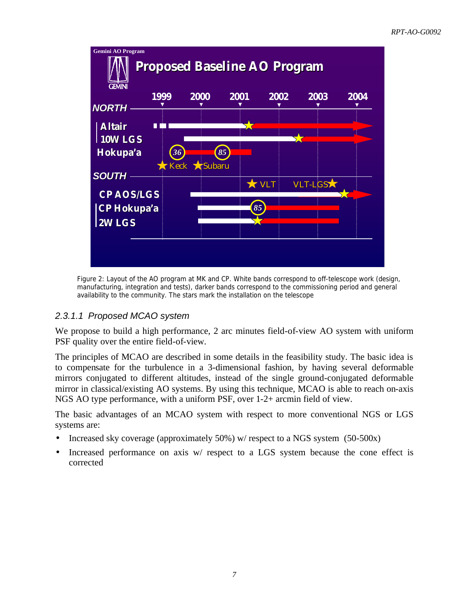

*Figure 2: Layout of the AO program at MK and CP. White bands correspond to off-telescope work (design, manufacturing, integration and tests), darker bands correspond to the commissioning period and general availability to the community. The stars mark the installation on the telescope*

# *2.3.1.1 Proposed MCAO system*

We propose to build a high performance, 2 arc minutes field-of-view AO system with uniform PSF quality over the entire field-of-view.

The principles of MCAO are described in some details in the feasibility study. The basic idea is to compensate for the turbulence in a 3-dimensional fashion, by having several deformable mirrors conjugated to different altitudes, instead of the single ground-conjugated deformable mirror in classical/existing AO systems. By using this technique, MCAO is able to reach on-axis NGS AO type performance, with a uniform PSF, over 1-2+ arcmin field of view.

The basic advantages of an MCAO system with respect to more conventional NGS or LGS systems are:

- Increased sky coverage (approximately 50%) w/ respect to a NGS system (50-500x)
- Increased performance on axis w/ respect to a LGS system because the cone effect is corrected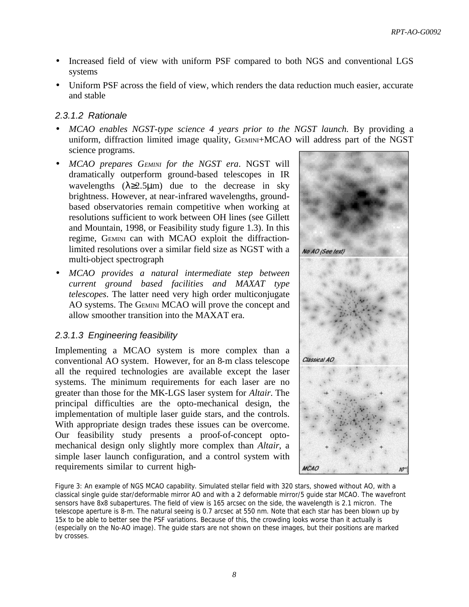- Increased field of view with uniform PSF compared to both NGS and conventional LGS systems
- Uniform PSF across the field of view, which renders the data reduction much easier, accurate and stable

#### *2.3.1.2 Rationale*

- *MCAO enables NGST-type science 4 years prior to the NGST launch.* By providing a uniform, diffraction limited image quality, GEMINI+MCAO will address part of the NGST science programs.
- *MCAO prepares GEMINI for the NGST era*. NGST will dramatically outperform ground-based telescopes in IR wavelengths  $(\lambda \ge 2.5 \mu m)$  due to the decrease in sky brightness. However, at near-infrared wavelengths, groundbased observatories remain competitive when working at resolutions sufficient to work between OH lines (see Gillett and Mountain, 1998, or Feasibility study figure 1.3). In this regime, GEMINI can with MCAO exploit the diffractionlimited resolutions over a similar field size as NGST with a multi-object spectrograph
- *MCAO provides a natural intermediate step between current ground based facilities and MAXAT type telescopes*. The latter need very high order multiconjugate AO systems. The GEMINI MCAO will prove the concept and allow smoother transition into the MAXAT era.

#### *2.3.1.3 Engineering feasibility*

Implementing a MCAO system is more complex than a conventional AO system. However, for an 8-m class telescope all the required technologies are available except the laser systems. The minimum requirements for each laser are no greater than those for the MK-LGS laser system for *Altair*. The principal difficulties are the opto-mechanical design, the implementation of multiple laser guide stars, and the controls. With appropriate design trades these issues can be overcome. Our feasibility study presents a proof-of-concept optomechanical design only slightly more complex than *Altair*, a simple laser launch configuration, and a control system with requirements similar to current high-



*Figure 3: An example of NGS MCAO capability. Simulated stellar field with 320 stars, showed without AO, with a classical single guide star/deformable mirror AO and with a 2 deformable mirror/5 guide star MCAO. The wavefront sensors have 8x8 subapertures. The field of view is 165 arcsec on the side, the wavelength is 2.1 micron. The telescope aperture is 8-m. The natural seeing is 0.7 arcsec at 550 nm. Note that each star has been blown up by*  15x to be able to better see the PSF variations. Because of this, the crowding looks worse than it actually is *(especially on the No-AO image). The guide stars are not shown on these images, but their positions are marked by crosses.*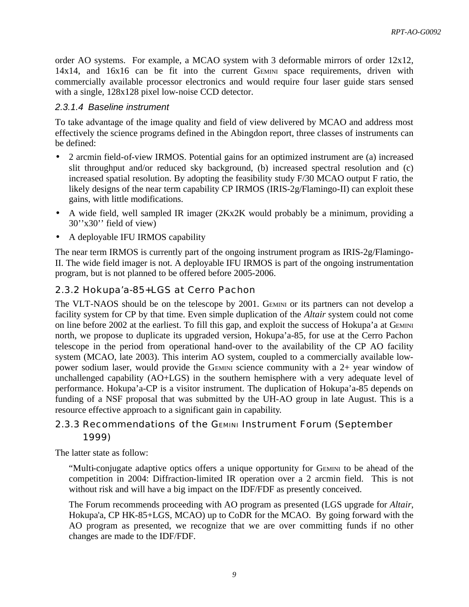order AO systems. For example, a MCAO system with 3 deformable mirrors of order 12x12, 14x14, and 16x16 can be fit into the current GEMINI space requirements, driven with commercially available processor electronics and would require four laser guide stars sensed with a single, 128x128 pixel low-noise CCD detector.

#### *2.3.1.4 Baseline instrument*

To take advantage of the image quality and field of view delivered by MCAO and address most effectively the science programs defined in the Abingdon report, three classes of instruments can be defined:

- 2 arcmin field-of-view IRMOS. Potential gains for an optimized instrument are (a) increased slit throughput and/or reduced sky background, (b) increased spectral resolution and (c) increased spatial resolution. By adopting the feasibility study F/30 MCAO output F ratio, the likely designs of the near term capability CP IRMOS (IRIS-2g/Flamingo-II) can exploit these gains, with little modifications.
- A wide field, well sampled IR imager (2Kx2K would probably be a minimum, providing a 30''x30'' field of view)
- A deployable IFU IRMOS capability

The near term IRMOS is currently part of the ongoing instrument program as IRIS-2g/Flamingo-II. The wide field imager is not. A deployable IFU IRMOS is part of the ongoing instrumentation program, but is not planned to be offered before 2005-2006.

### 2.3.2 Hokupa'a-85+LGS at Cerro Pachon

The VLT-NAOS should be on the telescope by 2001. GEMINI or its partners can not develop a facility system for CP by that time. Even simple duplication of the *Altair* system could not come on line before 2002 at the earliest. To fill this gap, and exploit the success of Hokupa'a at GEMINI north, we propose to duplicate its upgraded version, Hokupa'a-85, for use at the Cerro Pachon telescope in the period from operational hand-over to the availability of the CP AO facility system (MCAO, late 2003). This interim AO system, coupled to a commercially available lowpower sodium laser, would provide the GEMINI science community with a 2+ year window of unchallenged capability (AO+LGS) in the southern hemisphere with a very adequate level of performance. Hokupa'a-CP is a visitor instrument. The duplication of Hokupa'a-85 depends on funding of a NSF proposal that was submitted by the UH-AO group in late August. This is a resource effective approach to a significant gain in capability.

# 2.3.3 Recommendations of the GEMINI Instrument Forum (September 1999)

The latter state as follow:

"Multi-conjugate adaptive optics offers a unique opportunity for GEMINI to be ahead of the competition in 2004: Diffraction-limited IR operation over a 2 arcmin field. This is not without risk and will have a big impact on the IDF/FDF as presently conceived.

The Forum recommends proceeding with AO program as presented (LGS upgrade for *Altair*, Hokupa'a, CP HK-85+LGS, MCAO) up to CoDR for the MCAO. By going forward with the AO program as presented, we recognize that we are over committing funds if no other changes are made to the IDF/FDF.